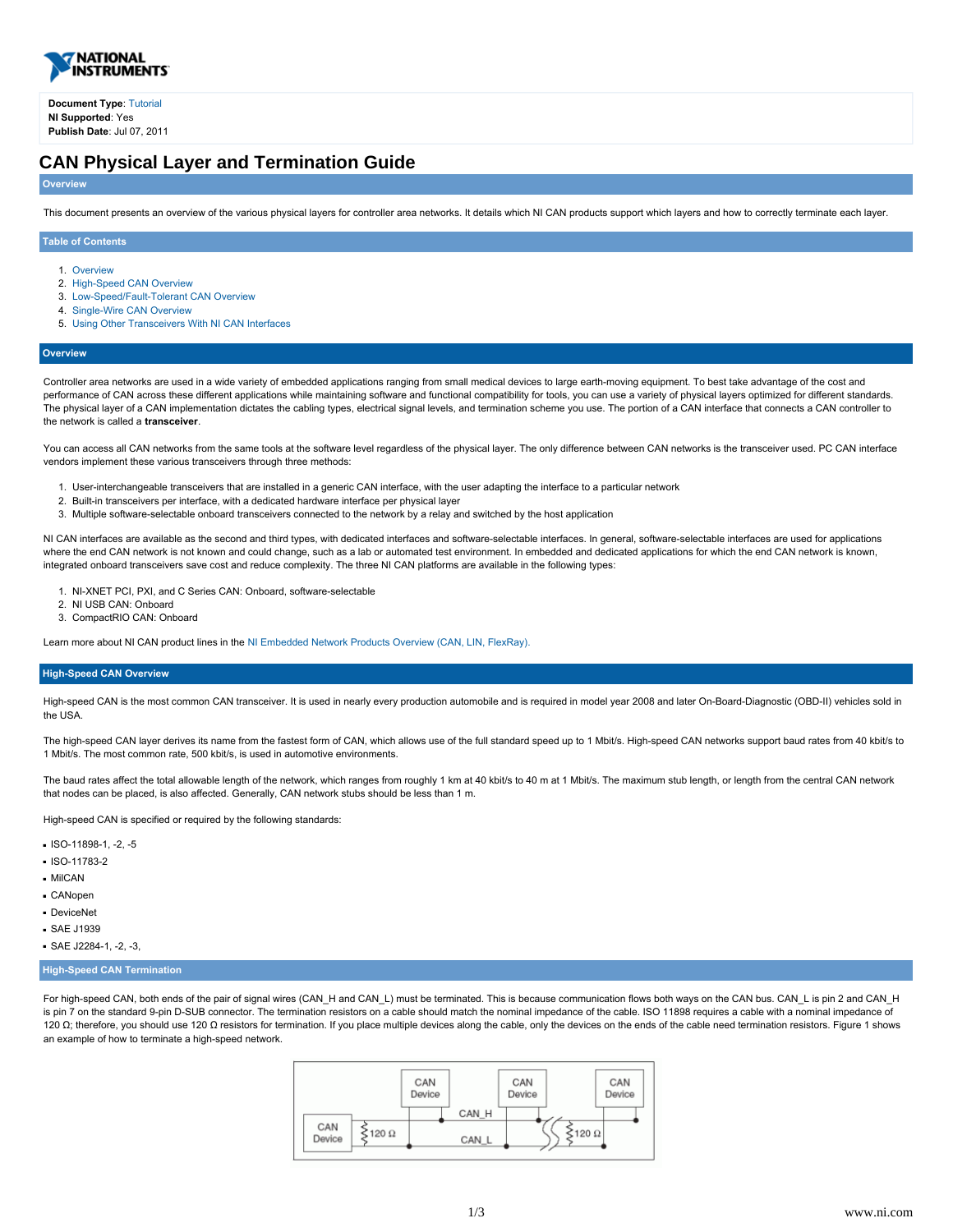

**Document Type**: [Tutorial](http://search.ni.com/nisearch/app/main/p/lang/en/pg/1/ap/tech/sn/catnav:tu,ssnav:dzn) **NI Supported**: Yes **Publish Date**: Jul 07, 2011

# **CAN Physical Layer and Termination Guide**

## **Overview**

This document presents an overview of the various physical layers for controller area networks. It details which NI CAN products support which layers and how to correctly terminate each layer.

## **Table of Contents**

- 1. [Overview](#page-0-0)
- 2. [High-Speed CAN Overview](#page-0-1)
- 3. [Low-Speed/Fault-Tolerant CAN Overview](#page-1-0)
- 4. [Single-Wire CAN Overview](#page-1-1)
- 5. [Using Other Transceivers With NI CAN Interfaces](#page-2-0)

## <span id="page-0-0"></span>**Overview**

Controller area networks are used in a wide variety of embedded applications ranging from small medical devices to large earth-moving equipment. To best take advantage of the cost and performance of CAN across these different applications while maintaining software and functional compatibility for tools, you can use a variety of physical layers optimized for different standards. The physical layer of a CAN implementation dictates the cabling types, electrical signal levels, and termination scheme you use. The portion of a CAN interface that connects a CAN controller to the network is called a **transceiver**.

You can access all CAN networks from the same tools at the software level regardless of the physical layer. The only difference between CAN networks is the transceiver used. PC CAN interface vendors implement these various transceivers through three methods:

- 1. User-interchangeable transceivers that are installed in a generic CAN interface, with the user adapting the interface to a particular network
- 2. Built-in transceivers per interface, with a dedicated hardware interface per physical layer
- 3. Multiple software-selectable onboard transceivers connected to the network by a relay and switched by the host application

NI CAN interfaces are available as the second and third types, with dedicated interfaces and software-selectable interfaces. In general, software-selectable interfaces are used for applications where the end CAN network is not known and could change, such as a lab or automated test environment. In embedded and dedicated applications for which the end CAN network is known, integrated onboard transceivers save cost and reduce complexity. The three NI CAN platforms are available in the following types:

- 1. NI-XNET PCI, PXI, and C Series CAN: Onboard, software-selectable
- 2. NI USB CAN: Onboard
- 3. CompactRIO CAN: Onboard

Learn more about NI CAN product lines in the [NI Embedded Network Products Overview \(CAN, LIN, FlexRay\).](http://www.ni.com/9862/)

## <span id="page-0-1"></span>**High-Speed CAN Overview**

High-speed CAN is the most common CAN transceiver. It is used in nearly every production automobile and is required in model year 2008 and later On-Board-Diagnostic (OBD-II) vehicles sold in the USA.

The high-speed CAN layer derives its name from the fastest form of CAN, which allows use of the full standard speed up to 1 Mbit/s. High-speed CAN networks support baud rates from 40 kbit/s to 1 Mbit/s. The most common rate, 500 kbit/s, is used in automotive environments.

The baud rates affect the total allowable length of the network, which ranges from roughly 1 km at 40 kbit/s to 40 m at 1 Mbit/s. The maximum stub length, or length from the central CAN network that nodes can be placed, is also affected. Generally, CAN network stubs should be less than 1 m.

High-speed CAN is specified or required by the following standards:

- $\cdot$  ISO-11898-1, -2, -5
- $-$ ISO-11783-2
- MilCAN
- CANopen
- DeviceNet
- SAE J1939
- SAE J2284-1, -2, -3,

## **High-Speed CAN Termination**

For high-speed CAN, both ends of the pair of signal wires (CAN\_H and CAN\_L) must be terminated. This is because communication flows both ways on the CAN bus. CAN\_L is pin 2 and CAN\_H is pin 7 on the standard 9-pin D-SUB connector. The termination resistors on a cable should match the nominal impedance of the cable. ISO 11898 requires a cable with a nominal impedance of 120 Ω; therefore, you should use 120 Ω resistors for termination. If you place multiple devices along the cable, only the devices on the ends of the cable need termination resistors. Figure 1 shows an example of how to terminate a high-speed network.

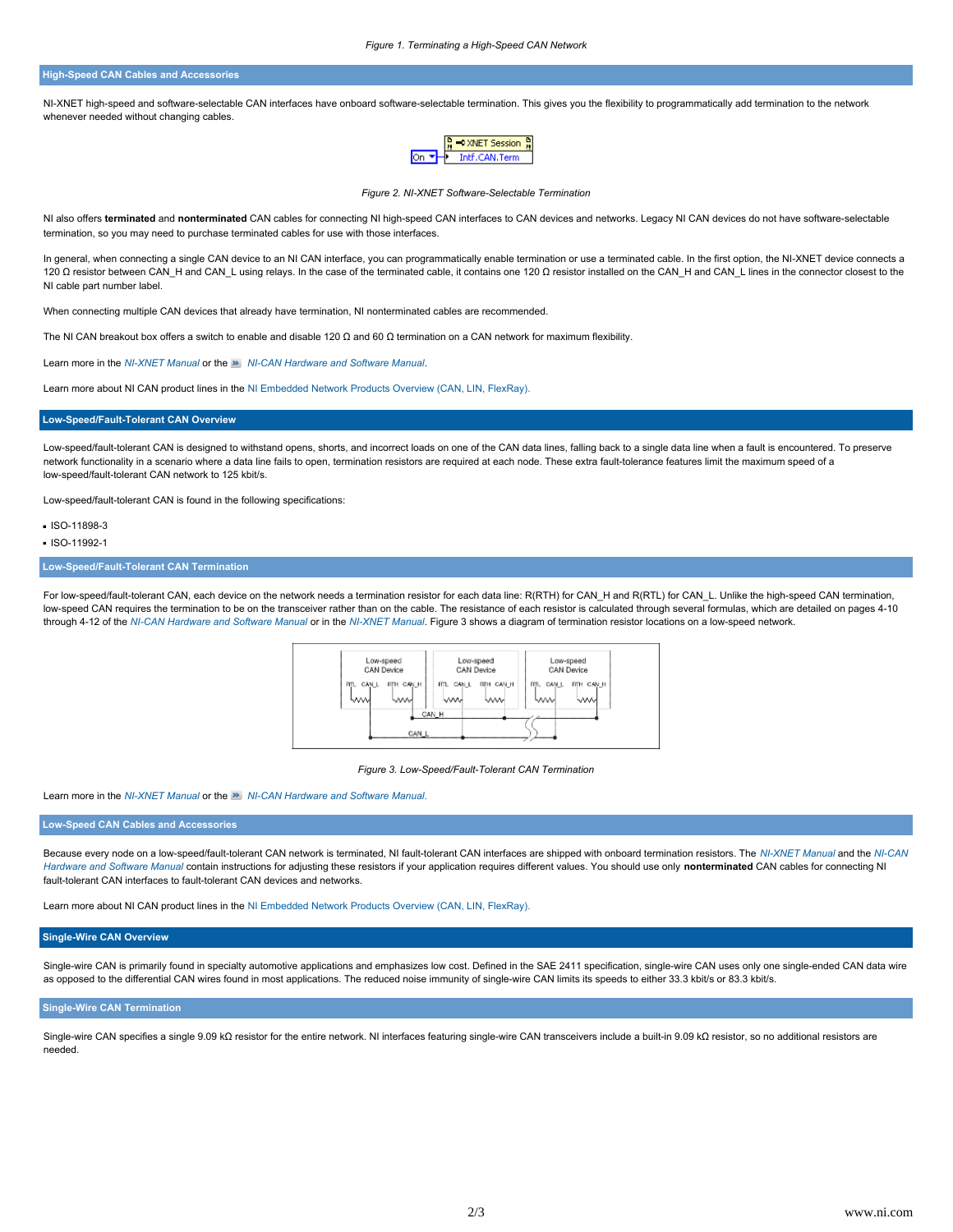## **High-Speed CAN Cables and Accessories**

NI-XNET high-speed and software-selectable CAN interfaces have onboard software-selectable termination. This gives you the flexibility to programmatically add termination to the network whenever needed without changing cables.



*Figure 2. NI-XNET Software-Selectable Termination*

NI also offers terminated and nonterminated CAN cables for connecting NI high-speed CAN interfaces to CAN devices and networks. Legacy NI CAN devices do not have software-selectable termination, so you may need to purchase terminated cables for use with those interfaces.

In general, when connecting a single CAN device to an NI CAN interface, you can programmatically enable termination or use a terminated cable. In the first option, the NI-XNET device connects a 120 Ω resistor between CAN\_H and CAN\_L using relays. In the case of the terminated cable, it contains one 120 Ω resistor installed on the CAN\_H and CAN\_L lines in the connector closest to the NI cable part number label.

When connecting multiple CAN devices that already have termination, NI nonterminated cables are recommended.

The NI CAN breakout box offers a switch to enable and disable 120  $\Omega$  and 60  $\Omega$  termination on a CAN network for maximum flexibility.

Learn more in the *[NI-XNET Manual](http://digital.ni.com/manuals.nsf/websearch/7789010F888758A7862576DC004E5619)* or the *[NI-CAN Hardware and Software Manual](http://search.ni.com/nisearch/app/main/p/bot/no/ap/pm/lang/en/pg/1/sn/catnav:pm,n17:UserManual,n18:c,n23:2.17.3237.3239)*.

Learn more about NI CAN product lines in the [NI Embedded Network Products Overview \(CAN, LIN, FlexRay\).](http://www.ni.com/9862/)

#### <span id="page-1-0"></span>**Low-Speed/Fault-Tolerant CAN Overview**

Low-speed/fault-tolerant CAN is designed to withstand opens, shorts, and incorrect loads on one of the CAN data lines, falling back to a single data line when a fault is encountered. To preserve network functionality in a scenario where a data line fails to open, termination resistors are required at each node. These extra fault-tolerance features limit the maximum speed of a low-speed/fault-tolerant CAN network to 125 kbit/s.

Low-speed/fault-tolerant CAN is found in the following specifications:

ISO-11898-3

ISO-11992-1

## **Low-Speed/Fault-Tolerant CAN Termination**

For low-speed/fault-tolerant CAN, each device on the network needs a termination resistor for each data line: R(RTH) for CAN H and R(RTL) for CAN\_L. Unlike the high-speed CAN termination, low-speed CAN requires the termination to be on the transceiver rather than on the cable. The resistance of each resistor is calculated through several formulas, which are detailed on pages 4-10 through 4-12 of the *[NI-CAN Hardware and Software Manual](http://search.ni.com/nisearch/app/main/p/bot/no/ap/pm/lang/en/pg/1/sn/catnav:pm,n17:UserManual,n18:c,n23:2.17.3237.3239)* or in the *[NI-XNET Manual](http://digital.ni.com/manuals.nsf/websearch/7789010F888758A7862576DC004E5619)*. Figure 3 shows a diagram of termination resistor locations on a low-speed network.



*Figure 3. Low-Speed/Fault-Tolerant CAN Termination*

Learn more in the *[NI-XNET Manual](http://digital.ni.com/manuals.nsf/websearch/7789010F888758A7862576DC004E5619)* or the *[NI-CAN Hardware and Software Manual](http://search.ni.com/nisearch/app/main/p/bot/no/ap/pm/lang/en/pg/1/sn/catnav:pm,n17:UserManual,n18:c,n23:2.17.3237.3239)*.

### **Low-Speed CAN Cables and Accessories**

Because every node on a low-speed/fault-tolerant CAN network is terminated, NI fault-tolerant CAN interfaces are shipped with onboard termination resistors. The *[NI-XNET Manual](http://digital.ni.com/manuals.nsf/websearch/7789010F888758A7862576DC004E5619)* and the *[NI-CAN](http://search.ni.com/nisearch/app/main/p/bot/no/ap/pm/lang/en/pg/1/sn/catnav:pm,n17:UserManual,n18:c,n23:2.17.3237.3239) [Hardware and Software Manual](http://search.ni.com/nisearch/app/main/p/bot/no/ap/pm/lang/en/pg/1/sn/catnav:pm,n17:UserManual,n18:c,n23:2.17.3237.3239)* contain instructions for adjusting these resistors if your application requires different values. You should use only **nonterminated** CAN cables for connecting NI fault-tolerant CAN interfaces to fault-tolerant CAN devices and networks.

Learn more about NI CAN product lines in the [NI Embedded Network Products Overview \(CAN, LIN, FlexRay\).](http://www.ni.com/9862/)

## <span id="page-1-1"></span>**Single-Wire CAN Overview**

Single-wire CAN is primarily found in specialty automotive applications and emphasizes low cost. Defined in the SAE 2411 specification, single-wire CAN uses only one single-ended CAN data wire as opposed to the differential CAN wires found in most applications. The reduced noise immunity of single-wire CAN limits its speeds to either 33.3 kbit/s or 83.3 kbit/s.

## **Single-Wire CAN Termination**

Single-wire CAN specifies a single 9.09 kΩ resistor for the entire network. NI interfaces featuring single-wire CAN transceivers include a built-in 9.09 kΩ resistor, so no additional resistors are needed.